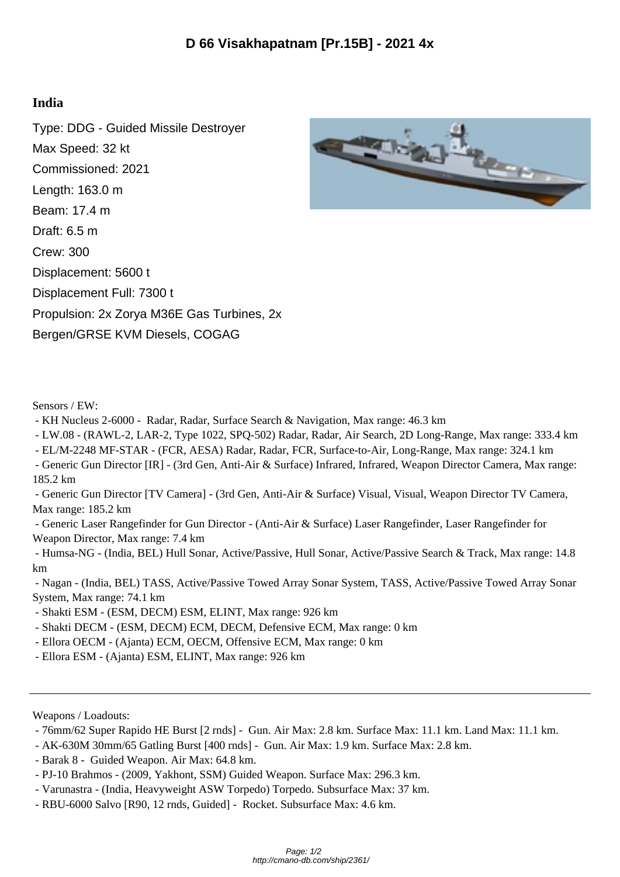## **India**

Type: DDG - Guided Missile Destroyer Max Speed: 32 kt Commissioned: 2021 Length: 163.0 m Beam: 17.4 m Draft: 6.5 m Crew: 300 Displacement: 5600 t Displacement Full: 7300 t Propulsion: 2x Zorya M36E Gas Turbines, 2x Bergen/GRSE KVM Diesels, COGAG



## Sensors / EW:

- KH Nucleus 2-6000 Radar, Radar, Surface Search & Navigation, Max range: 46.3 km
- LW.08 (RAWL-2, LAR-2, Type 1022, SPQ-502) Radar, Radar, Air Search, 2D Long-Range, Max range: 333.4 km
- EL/M-2248 MF-STAR (FCR, AESA) Radar, Radar, FCR, Surface-to-Air, Long-Range, Max range: 324.1 km
- Generic Gun Director [IR] (3rd Gen, Anti-Air & Surface) Infrared, Infrared, Weapon Director Camera, Max range: 185.2 km
- Generic Gun Director [TV Camera] (3rd Gen, Anti-Air & Surface) Visual, Visual, Weapon Director TV Camera, Max range: 185.2 km
- Generic Laser Rangefinder for Gun Director (Anti-Air & Surface) Laser Rangefinder, Laser Rangefinder for Weapon Director, Max range: 7.4 km
- Humsa-NG (India, BEL) Hull Sonar, Active/Passive, Hull Sonar, Active/Passive Search & Track, Max range: 14.8 km
- Nagan (India, BEL) TASS, Active/Passive Towed Array Sonar System, TASS, Active/Passive Towed Array Sonar System, Max range: 74.1 km
- Shakti ESM (ESM, DECM) ESM, ELINT, Max range: 926 km
- Shakti DECM (ESM, DECM) ECM, DECM, Defensive ECM, Max range: 0 km
- Ellora OECM (Ajanta) ECM, OECM, Offensive ECM, Max range: 0 km
- Ellora ESM (Ajanta) ESM, ELINT, Max range: 926 km

Weapons / Loadouts:

- 76mm/62 Super Rapido HE Burst [2 rnds] Gun. Air Max: 2.8 km. Surface Max: 11.1 km. Land Max: 11.1 km.
- AK-630M 30mm/65 Gatling Burst [400 rnds] Gun. Air Max: 1.9 km. Surface Max: 2.8 km.
- Barak 8 Guided Weapon. Air Max: 64.8 km.
- PJ-10 Brahmos (2009, Yakhont, SSM) Guided Weapon. Surface Max: 296.3 km.
- Varunastra (India, Heavyweight ASW Torpedo) Torpedo. Subsurface Max: 37 km.
- RBU-6000 Salvo [R90, 12 rnds, Guided] Rocket. Subsurface Max: 4.6 km.